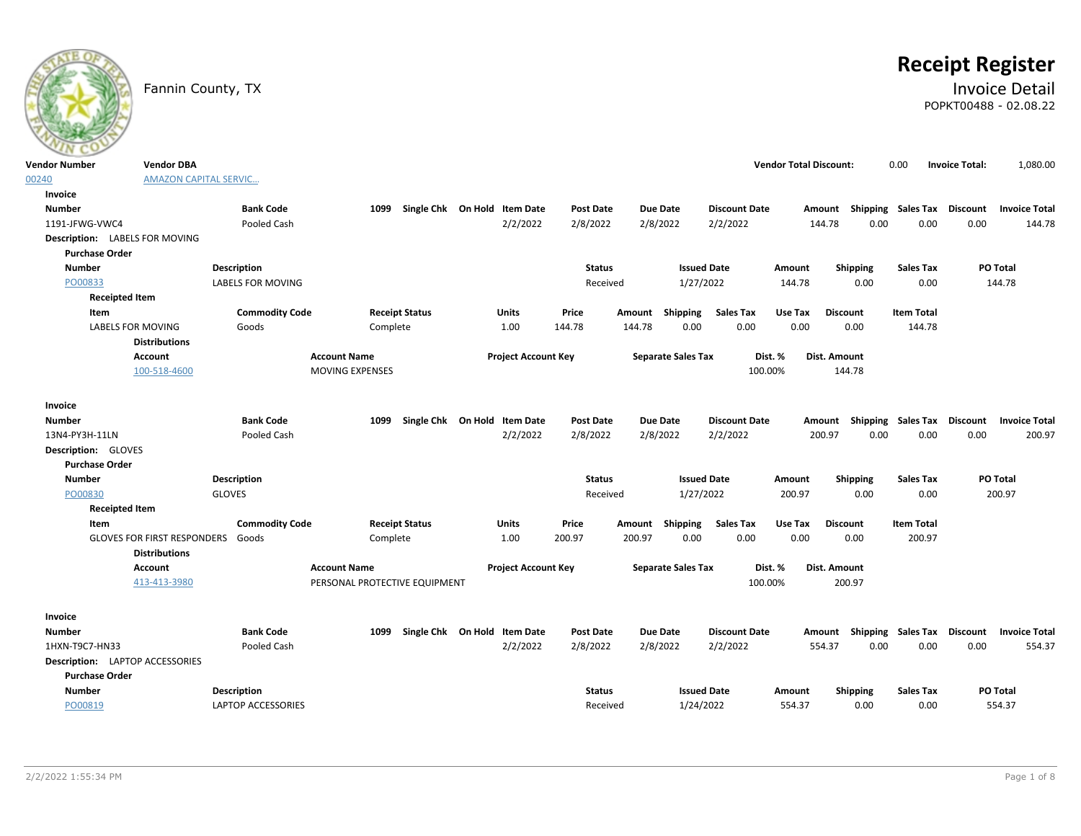# **Receipt Register**

### Fannin County, TX **Invoice Detail** POPKT00488 - 02.08.22

| Vendor Number                          | <b>Vendor DBA</b>                  |                           |                               |          |                                   |                            |                  |        |                 |                           |                      | <b>Vendor Total Discount:</b> |              |                 | 0.00                      | <b>Invoice Total:</b> | 1,080.00                                         |
|----------------------------------------|------------------------------------|---------------------------|-------------------------------|----------|-----------------------------------|----------------------------|------------------|--------|-----------------|---------------------------|----------------------|-------------------------------|--------------|-----------------|---------------------------|-----------------------|--------------------------------------------------|
| 00240                                  | <b>AMAZON CAPITAL SERVIC</b>       |                           |                               |          |                                   |                            |                  |        |                 |                           |                      |                               |              |                 |                           |                       |                                                  |
| Invoice                                |                                    |                           |                               |          |                                   |                            |                  |        |                 |                           |                      |                               |              |                 |                           |                       |                                                  |
| <b>Number</b>                          |                                    | <b>Bank Code</b>          |                               |          | 1099 Single Chk On Hold Item Date |                            | <b>Post Date</b> |        | <b>Due Date</b> |                           | <b>Discount Date</b> |                               |              |                 |                           |                       | Amount Shipping Sales Tax Discount Invoice Total |
| 1191-JFWG-VWC4                         |                                    | Pooled Cash               |                               |          |                                   | 2/2/2022                   | 2/8/2022         |        | 2/8/2022        |                           | 2/2/2022             |                               | 144.78       | 0.00            | 0.00                      | 0.00                  | 144.78                                           |
| Description: LABELS FOR MOVING         |                                    |                           |                               |          |                                   |                            |                  |        |                 |                           |                      |                               |              |                 |                           |                       |                                                  |
| <b>Purchase Order</b>                  |                                    |                           |                               |          |                                   |                            |                  |        |                 |                           |                      |                               |              |                 |                           |                       |                                                  |
| <b>Number</b>                          |                                    | <b>Description</b>        |                               |          |                                   |                            | <b>Status</b>    |        |                 | <b>Issued Date</b>        |                      | Amount                        |              | Shipping        | <b>Sales Tax</b>          |                       | PO Total                                         |
| PO00833                                |                                    | <b>LABELS FOR MOVING</b>  |                               |          |                                   |                            | Received         |        |                 | 1/27/2022                 |                      | 144.78                        |              | 0.00            | 0.00                      |                       | 144.78                                           |
| <b>Receipted Item</b>                  |                                    |                           |                               |          |                                   |                            |                  |        |                 |                           |                      |                               |              |                 |                           |                       |                                                  |
| Item                                   |                                    | <b>Commodity Code</b>     |                               |          | <b>Receipt Status</b>             | Units                      | Price            |        | Amount Shipping |                           | <b>Sales Tax</b>     | Use Tax                       |              | <b>Discount</b> | <b>Item Total</b>         |                       |                                                  |
|                                        | <b>LABELS FOR MOVING</b>           | Goods                     |                               | Complete |                                   | 1.00                       | 144.78           | 144.78 |                 | 0.00                      | 0.00                 | 0.00                          |              | 0.00            | 144.78                    |                       |                                                  |
|                                        | <b>Distributions</b>               |                           |                               |          |                                   |                            |                  |        |                 |                           |                      |                               |              |                 |                           |                       |                                                  |
|                                        | Account                            |                           | <b>Account Name</b>           |          |                                   | <b>Project Account Key</b> |                  |        |                 | <b>Separate Sales Tax</b> |                      | Dist. %                       | Dist. Amount |                 |                           |                       |                                                  |
|                                        | 100-518-4600                       |                           | <b>MOVING EXPENSES</b>        |          |                                   |                            |                  |        |                 |                           | 100.00%              |                               |              | 144.78          |                           |                       |                                                  |
| Invoice                                |                                    |                           |                               |          |                                   |                            |                  |        |                 |                           |                      |                               |              |                 |                           |                       |                                                  |
| <b>Number</b>                          |                                    | <b>Bank Code</b>          |                               | 1099     | Single Chk On Hold Item Date      |                            | <b>Post Date</b> |        | <b>Due Date</b> |                           | <b>Discount Date</b> |                               | Amount       |                 |                           |                       | Shipping Sales Tax Discount Invoice Total        |
| 13N4-PY3H-11LN                         |                                    | Pooled Cash               |                               |          |                                   | 2/2/2022                   | 2/8/2022         |        | 2/8/2022        |                           | 2/2/2022             |                               | 200.97       | 0.00            | 0.00                      | 0.00                  | 200.97                                           |
| Description: GLOVES                    |                                    |                           |                               |          |                                   |                            |                  |        |                 |                           |                      |                               |              |                 |                           |                       |                                                  |
| <b>Purchase Order</b>                  |                                    |                           |                               |          |                                   |                            |                  |        |                 |                           |                      |                               |              |                 |                           |                       |                                                  |
| <b>Number</b>                          |                                    | <b>Description</b>        |                               |          |                                   |                            | <b>Status</b>    |        |                 | <b>Issued Date</b>        |                      | Amount                        |              | Shipping        | <b>Sales Tax</b>          |                       | PO Total                                         |
| PO00830                                |                                    | <b>GLOVES</b>             |                               |          |                                   |                            | Received         |        |                 | 1/27/2022                 |                      | 200.97                        |              | 0.00            | 0.00                      |                       | 200.97                                           |
| <b>Receipted Item</b>                  |                                    |                           |                               |          |                                   |                            |                  |        |                 |                           |                      |                               |              |                 |                           |                       |                                                  |
| Item                                   |                                    | <b>Commodity Code</b>     |                               |          | <b>Receipt Status</b>             | Units                      | Price            |        |                 | Amount Shipping           | <b>Sales Tax</b>     | Use Tax                       |              | <b>Discount</b> | <b>Item Total</b>         |                       |                                                  |
|                                        | <b>GLOVES FOR FIRST RESPONDERS</b> | Goods                     |                               | Complete |                                   | 1.00                       | 200.97           | 200.97 |                 | 0.00                      | 0.00                 | 0.00                          |              | 0.00            | 200.97                    |                       |                                                  |
|                                        | <b>Distributions</b>               |                           |                               |          |                                   |                            |                  |        |                 |                           |                      |                               |              |                 |                           |                       |                                                  |
|                                        | <b>Account</b>                     |                           | <b>Account Name</b>           |          |                                   | <b>Project Account Key</b> |                  |        |                 | <b>Separate Sales Tax</b> |                      | Dist. %                       | Dist. Amount |                 |                           |                       |                                                  |
|                                        | 413-413-3980                       |                           | PERSONAL PROTECTIVE EQUIPMENT |          |                                   |                            |                  |        |                 |                           | 100.00%              |                               |              | 200.97          |                           |                       |                                                  |
|                                        |                                    |                           |                               |          |                                   |                            |                  |        |                 |                           |                      |                               |              |                 |                           |                       |                                                  |
| Invoice                                |                                    |                           |                               |          |                                   |                            |                  |        |                 |                           |                      |                               |              |                 |                           |                       |                                                  |
| Number                                 |                                    | <b>Bank Code</b>          |                               | 1099     | Single Chk On Hold Item Date      |                            | <b>Post Date</b> |        | <b>Due Date</b> |                           | <b>Discount Date</b> |                               |              |                 | Amount Shipping Sales Tax | Discount              | <b>Invoice Total</b>                             |
| 1HXN-T9C7-HN33                         |                                    | Pooled Cash               |                               |          |                                   | 2/2/2022                   | 2/8/2022         |        | 2/8/2022        |                           | 2/2/2022             |                               | 554.37       | 0.00            | 0.00                      | 0.00                  | 554.37                                           |
| <b>Description:</b> LAPTOP ACCESSORIES |                                    |                           |                               |          |                                   |                            |                  |        |                 |                           |                      |                               |              |                 |                           |                       |                                                  |
| <b>Purchase Order</b>                  |                                    |                           |                               |          |                                   |                            |                  |        |                 |                           |                      |                               |              |                 |                           |                       |                                                  |
| <b>Number</b>                          |                                    | <b>Description</b>        |                               |          |                                   |                            | <b>Status</b>    |        |                 | <b>Issued Date</b>        |                      | Amount                        |              | <b>Shipping</b> | <b>Sales Tax</b>          |                       | <b>PO Total</b>                                  |
| PO00819                                |                                    | <b>LAPTOP ACCESSORIES</b> |                               |          |                                   |                            | Received         |        |                 | 1/24/2022                 |                      | 554.37                        |              | 0.00            | 0.00                      |                       | 554.37                                           |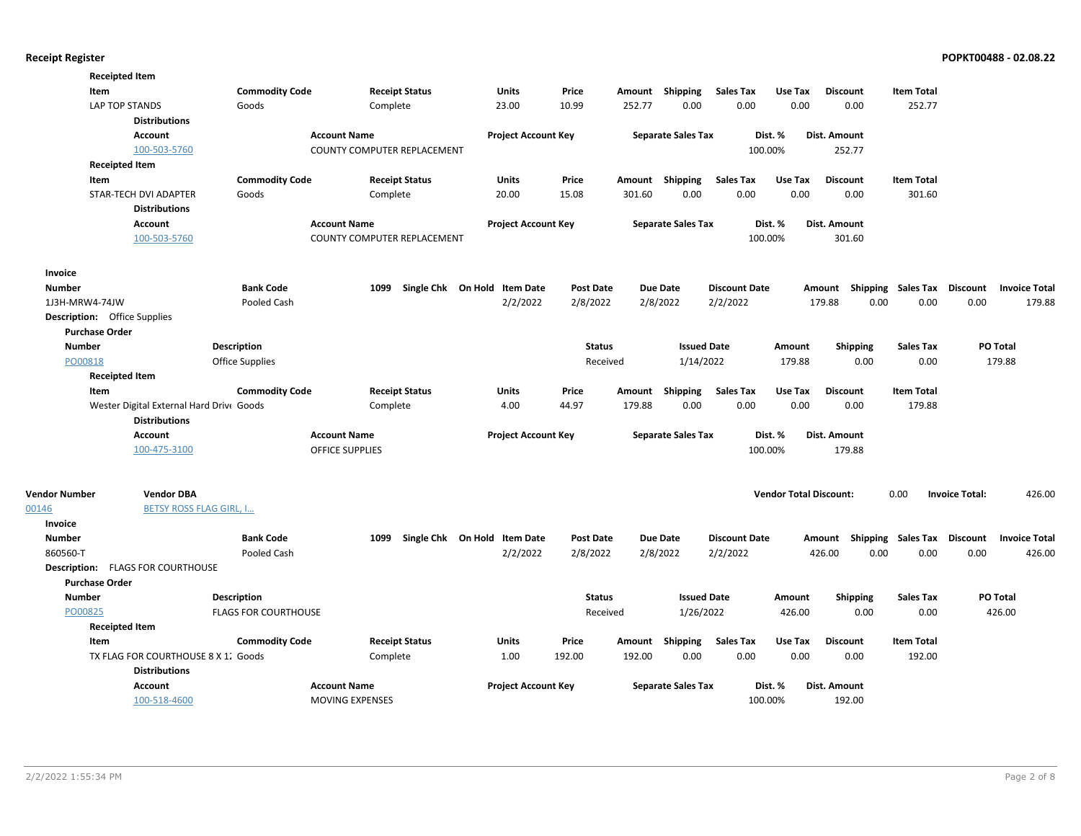| <b>Receipted Item</b>               |                                          |                             |                             |                       |                                   |                  |        |                           |                      |                               |                                    |                    |                       |                      |
|-------------------------------------|------------------------------------------|-----------------------------|-----------------------------|-----------------------|-----------------------------------|------------------|--------|---------------------------|----------------------|-------------------------------|------------------------------------|--------------------|-----------------------|----------------------|
| Item                                |                                          | <b>Commodity Code</b>       |                             | <b>Receipt Status</b> | Units                             | Price            |        | Amount Shipping           | <b>Sales Tax</b>     | Use Tax                       | <b>Discount</b>                    | <b>Item Total</b>  |                       |                      |
|                                     | LAP TOP STANDS                           | Goods                       | Complete                    |                       | 23.00                             | 10.99            | 252.77 | 0.00                      | 0.00                 | 0.00                          | 0.00                               | 252.77             |                       |                      |
|                                     | <b>Distributions</b>                     |                             |                             |                       |                                   |                  |        |                           |                      |                               |                                    |                    |                       |                      |
|                                     | <b>Account</b>                           |                             | <b>Account Name</b>         |                       | <b>Project Account Key</b>        |                  |        | <b>Separate Sales Tax</b> |                      | Dist. %                       | Dist. Amount                       |                    |                       |                      |
|                                     | 100-503-5760                             |                             | COUNTY COMPUTER REPLACEMENT |                       |                                   |                  |        |                           |                      | 100.00%                       | 252.77                             |                    |                       |                      |
| <b>Receipted Item</b>               |                                          |                             |                             |                       |                                   |                  |        |                           |                      |                               |                                    |                    |                       |                      |
| Item                                |                                          | <b>Commodity Code</b>       |                             | <b>Receipt Status</b> | <b>Units</b>                      | Price            |        | Amount Shipping           | <b>Sales Tax</b>     | Use Tax                       | <b>Discount</b>                    | <b>Item Total</b>  |                       |                      |
|                                     | STAR-TECH DVI ADAPTER                    | Goods                       | Complete                    |                       | 20.00                             | 15.08            | 301.60 | 0.00                      | 0.00                 | 0.00                          | 0.00                               | 301.60             |                       |                      |
|                                     | <b>Distributions</b>                     |                             |                             |                       |                                   |                  |        |                           |                      |                               |                                    |                    |                       |                      |
|                                     | <b>Account</b>                           |                             | <b>Account Name</b>         |                       | <b>Project Account Key</b>        |                  |        | <b>Separate Sales Tax</b> |                      | Dist. %                       | Dist. Amount                       |                    |                       |                      |
|                                     | 100-503-5760                             |                             | COUNTY COMPUTER REPLACEMENT |                       |                                   |                  |        |                           |                      | 100.00%                       | 301.60                             |                    |                       |                      |
| Invoice                             |                                          |                             |                             |                       |                                   |                  |        |                           |                      |                               |                                    |                    |                       |                      |
| <b>Number</b>                       |                                          | <b>Bank Code</b>            | 1099                        |                       | Single Chk On Hold Item Date      | <b>Post Date</b> |        | <b>Due Date</b>           | <b>Discount Date</b> |                               | Amount                             | Shipping Sales Tax | Discount              | <b>Invoice Total</b> |
| 1J3H-MRW4-74JW                      |                                          | Pooled Cash                 |                             |                       | 2/2/2022                          | 2/8/2022         |        | 2/8/2022                  | 2/2/2022             |                               | 179.88<br>0.00                     | 0.00               | 0.00                  | 179.88               |
| <b>Description:</b> Office Supplies |                                          |                             |                             |                       |                                   |                  |        |                           |                      |                               |                                    |                    |                       |                      |
| <b>Purchase Order</b>               |                                          |                             |                             |                       |                                   |                  |        |                           |                      |                               |                                    |                    |                       |                      |
| <b>Number</b>                       |                                          | <b>Description</b>          |                             |                       |                                   | <b>Status</b>    |        | <b>Issued Date</b>        |                      | Amount                        | <b>Shipping</b>                    | <b>Sales Tax</b>   |                       | PO Total             |
| PO00818                             |                                          | Office Supplies             |                             |                       |                                   | Received         |        | 1/14/2022                 |                      | 179.88                        | 0.00                               | 0.00               |                       | 179.88               |
| <b>Receipted Item</b>               |                                          |                             |                             |                       |                                   |                  |        |                           |                      |                               |                                    |                    |                       |                      |
| Item                                |                                          | <b>Commodity Code</b>       |                             | <b>Receipt Status</b> | Units                             | Price            | Amount | Shipping                  | <b>Sales Tax</b>     | Use Tax                       | <b>Discount</b>                    | <b>Item Total</b>  |                       |                      |
|                                     | Wester Digital External Hard Drive Goods |                             | Complete                    |                       | 4.00                              | 44.97            | 179.88 | 0.00                      | 0.00                 | 0.00                          | 0.00                               | 179.88             |                       |                      |
|                                     | <b>Distributions</b>                     |                             |                             |                       |                                   |                  |        |                           |                      |                               |                                    |                    |                       |                      |
|                                     | <b>Account</b>                           |                             | <b>Account Name</b>         |                       | <b>Project Account Key</b>        |                  |        | <b>Separate Sales Tax</b> |                      | Dist. %                       | Dist. Amount                       |                    |                       |                      |
|                                     | 100-475-3100                             |                             | <b>OFFICE SUPPLIES</b>      |                       |                                   |                  |        |                           |                      | 100.00%                       | 179.88                             |                    |                       |                      |
| <b>Vendor Number</b>                | <b>Vendor DBA</b>                        |                             |                             |                       |                                   |                  |        |                           |                      | <b>Vendor Total Discount:</b> |                                    | 0.00               | <b>Invoice Total:</b> | 426.00               |
| 00146                               | <b>BETSY ROSS FLAG GIRL, I</b>           |                             |                             |                       |                                   |                  |        |                           |                      |                               |                                    |                    |                       |                      |
| Invoice                             |                                          |                             |                             |                       |                                   |                  |        |                           |                      |                               |                                    |                    |                       |                      |
| <b>Number</b>                       |                                          | <b>Bank Code</b>            |                             |                       | 1099 Single Chk On Hold Item Date | Post Date        |        | Due Date                  | <b>Discount Date</b> |                               | Amount Shipping Sales Tax Discount |                    |                       | <b>Invoice Total</b> |
| 860560-T                            |                                          | Pooled Cash                 |                             |                       | 2/2/2022                          | 2/8/2022         |        | 2/8/2022                  | 2/2/2022             |                               | 426.00<br>0.00                     | 0.00               | 0.00                  | 426.00               |
|                                     | Description: FLAGS FOR COURTHOUSE        |                             |                             |                       |                                   |                  |        |                           |                      |                               |                                    |                    |                       |                      |
| <b>Purchase Order</b>               |                                          |                             |                             |                       |                                   |                  |        |                           |                      |                               |                                    |                    |                       |                      |
| <b>Number</b>                       |                                          | <b>Description</b>          |                             |                       |                                   | <b>Status</b>    |        | <b>Issued Date</b>        |                      | Amount                        | <b>Shipping</b>                    | <b>Sales Tax</b>   |                       | PO Total             |
| PO00825                             |                                          | <b>FLAGS FOR COURTHOUSE</b> |                             |                       |                                   | Received         |        | 1/26/2022                 |                      | 426.00                        | 0.00                               | 0.00               |                       | 426.00               |
| <b>Receipted Item</b>               |                                          |                             |                             |                       |                                   |                  |        |                           |                      |                               |                                    |                    |                       |                      |
| Item                                |                                          | <b>Commodity Code</b>       |                             | <b>Receipt Status</b> | Units                             | Price            |        | Amount Shipping           | <b>Sales Tax</b>     | Use Tax                       | <b>Discount</b>                    | <b>Item Total</b>  |                       |                      |
|                                     | TX FLAG FOR COURTHOUSE 8 X 1. Goods      |                             | Complete                    |                       | 1.00                              | 192.00           | 192.00 | 0.00                      | 0.00                 | 0.00                          | 0.00                               | 192.00             |                       |                      |
|                                     | <b>Distributions</b>                     |                             |                             |                       |                                   |                  |        |                           |                      |                               |                                    |                    |                       |                      |
|                                     | <b>Account</b>                           |                             | <b>Account Name</b>         |                       | <b>Project Account Key</b>        |                  |        | <b>Separate Sales Tax</b> |                      | Dist. %                       | Dist. Amount                       |                    |                       |                      |
|                                     | 100-518-4600                             |                             | <b>MOVING EXPENSES</b>      |                       |                                   |                  |        |                           |                      | 100.00%                       | 192.00                             |                    |                       |                      |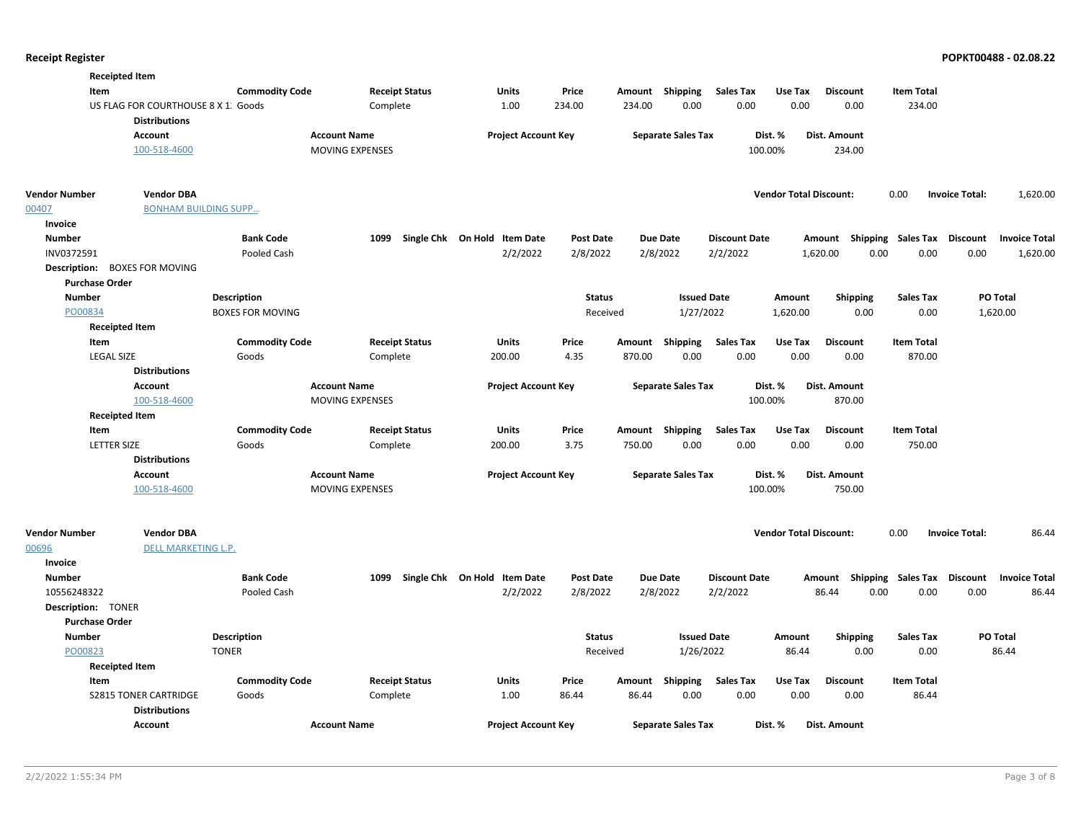|                       | <b>Receipted Item</b>                                       |                         |                        |                                   |                  |        |                           |                      |                               |                           |                   |                       |                      |
|-----------------------|-------------------------------------------------------------|-------------------------|------------------------|-----------------------------------|------------------|--------|---------------------------|----------------------|-------------------------------|---------------------------|-------------------|-----------------------|----------------------|
| Item                  |                                                             | <b>Commodity Code</b>   | <b>Receipt Status</b>  | <b>Units</b>                      | Price            |        | Amount Shipping           | <b>Sales Tax</b>     | Use Tax                       | <b>Discount</b>           | <b>Item Total</b> |                       |                      |
|                       | US FLAG FOR COURTHOUSE 8 X 1. Goods<br><b>Distributions</b> |                         | Complete               | 1.00                              | 234.00           | 234.00 | 0.00                      | 0.00                 | 0.00                          | 0.00                      | 234.00            |                       |                      |
|                       | Account                                                     |                         | <b>Account Name</b>    | <b>Project Account Key</b>        |                  |        | <b>Separate Sales Tax</b> |                      | Dist. %                       | Dist. Amount              |                   |                       |                      |
|                       | 100-518-4600                                                |                         | <b>MOVING EXPENSES</b> |                                   |                  |        |                           | 100.00%              |                               | 234.00                    |                   |                       |                      |
| Vendor Number         | <b>Vendor DBA</b>                                           |                         |                        |                                   |                  |        |                           |                      | <b>Vendor Total Discount:</b> |                           | 0.00              | <b>Invoice Total:</b> | 1,620.00             |
| 00407                 | <b>BONHAM BUILDING SUPP</b>                                 |                         |                        |                                   |                  |        |                           |                      |                               |                           |                   |                       |                      |
| Invoice               |                                                             |                         |                        |                                   |                  |        |                           |                      |                               |                           |                   |                       |                      |
| <b>Number</b>         |                                                             | <b>Bank Code</b>        |                        | 1099 Single Chk On Hold Item Date | <b>Post Date</b> |        | <b>Due Date</b>           | <b>Discount Date</b> |                               | Amount Shipping Sales Tax |                   | <b>Discount</b>       | <b>Invoice Total</b> |
| INV0372591            |                                                             | Pooled Cash             |                        | 2/2/2022                          | 2/8/2022         |        | 2/8/2022                  | 2/2/2022             |                               | 1,620.00<br>0.00          | 0.00              | 0.00                  | 1,620.00             |
|                       | Description: BOXES FOR MOVING                               |                         |                        |                                   |                  |        |                           |                      |                               |                           |                   |                       |                      |
| <b>Purchase Order</b> |                                                             |                         |                        |                                   |                  |        |                           |                      |                               |                           |                   |                       |                      |
| <b>Number</b>         |                                                             | <b>Description</b>      |                        |                                   | <b>Status</b>    |        | <b>Issued Date</b>        |                      | Amount                        | <b>Shipping</b>           | <b>Sales Tax</b>  | PO Total              |                      |
| PO00834               |                                                             | <b>BOXES FOR MOVING</b> |                        |                                   | Received         |        | 1/27/2022                 |                      | 1,620.00                      | 0.00                      | 0.00              | 1,620.00              |                      |
|                       | <b>Receipted Item</b>                                       |                         |                        |                                   |                  |        |                           |                      |                               |                           |                   |                       |                      |
| Item                  |                                                             | <b>Commodity Code</b>   | <b>Receipt Status</b>  | Units                             | Price            | Amount | Shipping                  | <b>Sales Tax</b>     | Use Tax                       | <b>Discount</b>           | <b>Item Total</b> |                       |                      |
| <b>LEGAL SIZE</b>     |                                                             | Goods                   | Complete               | 200.00                            | 4.35             | 870.00 | 0.00                      | 0.00                 | 0.00                          | 0.00                      | 870.00            |                       |                      |
|                       | <b>Distributions</b>                                        |                         |                        |                                   |                  |        |                           |                      |                               |                           |                   |                       |                      |
|                       | Account                                                     |                         | <b>Account Name</b>    | <b>Project Account Key</b>        |                  |        | <b>Separate Sales Tax</b> |                      | Dist. %                       | Dist. Amount              |                   |                       |                      |
|                       | 100-518-4600                                                |                         | <b>MOVING EXPENSES</b> |                                   |                  |        |                           | 100.00%              |                               | 870.00                    |                   |                       |                      |
|                       | <b>Receipted Item</b>                                       |                         |                        |                                   |                  |        |                           |                      |                               |                           |                   |                       |                      |
| Item                  |                                                             | <b>Commodity Code</b>   | <b>Receipt Status</b>  | <b>Units</b>                      | Price            | Amount | Shipping                  | <b>Sales Tax</b>     | Use Tax                       | <b>Discount</b>           | <b>Item Total</b> |                       |                      |
| <b>LETTER SIZE</b>    |                                                             | Goods                   | Complete               | 200.00                            | 3.75             | 750.00 | 0.00                      | 0.00                 | 0.00                          | 0.00                      | 750.00            |                       |                      |
|                       | <b>Distributions</b>                                        |                         |                        |                                   |                  |        |                           |                      |                               |                           |                   |                       |                      |
|                       | Account                                                     |                         | <b>Account Name</b>    | <b>Project Account Key</b>        |                  |        | <b>Separate Sales Tax</b> |                      | Dist. %                       | Dist. Amount              |                   |                       |                      |
|                       | 100-518-4600                                                |                         | MOVING EXPENSES        |                                   |                  |        |                           | 100.00%              |                               | 750.00                    |                   |                       |                      |
| Vendor Number         | <b>Vendor DBA</b>                                           |                         |                        |                                   |                  |        |                           |                      | <b>Vendor Total Discount:</b> |                           | 0.00              | <b>Invoice Total:</b> | 86.44                |
| 00696                 | <b>DELL MARKETING L.P.</b>                                  |                         |                        |                                   |                  |        |                           |                      |                               |                           |                   |                       |                      |
| Invoice               |                                                             |                         |                        |                                   |                  |        |                           |                      |                               |                           |                   |                       |                      |
| <b>Number</b>         |                                                             | <b>Bank Code</b>        |                        | 1099 Single Chk On Hold Item Date | <b>Post Date</b> |        | <b>Due Date</b>           | <b>Discount Date</b> |                               | Shipping<br>Amount        | Sales Tax         | <b>Discount</b>       | <b>Invoice Total</b> |
| 10556248322           |                                                             | Pooled Cash             |                        | 2/2/2022                          | 2/8/2022         |        | 2/8/2022                  | 2/2/2022             |                               | 86.44<br>0.00             | 0.00              | 0.00                  | 86.44                |
| Description: TONER    |                                                             |                         |                        |                                   |                  |        |                           |                      |                               |                           |                   |                       |                      |
| <b>Purchase Order</b> |                                                             |                         |                        |                                   |                  |        |                           |                      |                               |                           |                   |                       |                      |
| <b>Number</b>         |                                                             | Description             |                        |                                   | <b>Status</b>    |        | <b>Issued Date</b>        |                      | Amount                        | <b>Shipping</b>           | <b>Sales Tax</b>  | PO Total              |                      |
| PO00823               |                                                             | <b>TONER</b>            |                        |                                   | Received         |        | 1/26/2022                 |                      | 86.44                         | 0.00                      | 0.00              |                       | 86.44                |
|                       | <b>Receipted Item</b>                                       |                         |                        |                                   |                  |        |                           |                      |                               |                           |                   |                       |                      |
| Item                  |                                                             | <b>Commodity Code</b>   | <b>Receipt Status</b>  | Units                             | Price            | Amount | Shipping                  | Sales Tax            | Use Tax                       | <b>Discount</b>           | <b>Item Total</b> |                       |                      |
|                       | <b>S2815 TONER CARTRIDGE</b><br><b>Distributions</b>        | Goods                   | Complete               | 1.00                              | 86.44            | 86.44  | 0.00                      | 0.00                 | 0.00                          | 0.00                      | 86.44             |                       |                      |
|                       | Account                                                     |                         | <b>Account Name</b>    | <b>Project Account Key</b>        |                  |        | <b>Separate Sales Tax</b> |                      | Dist. %                       | Dist. Amount              |                   |                       |                      |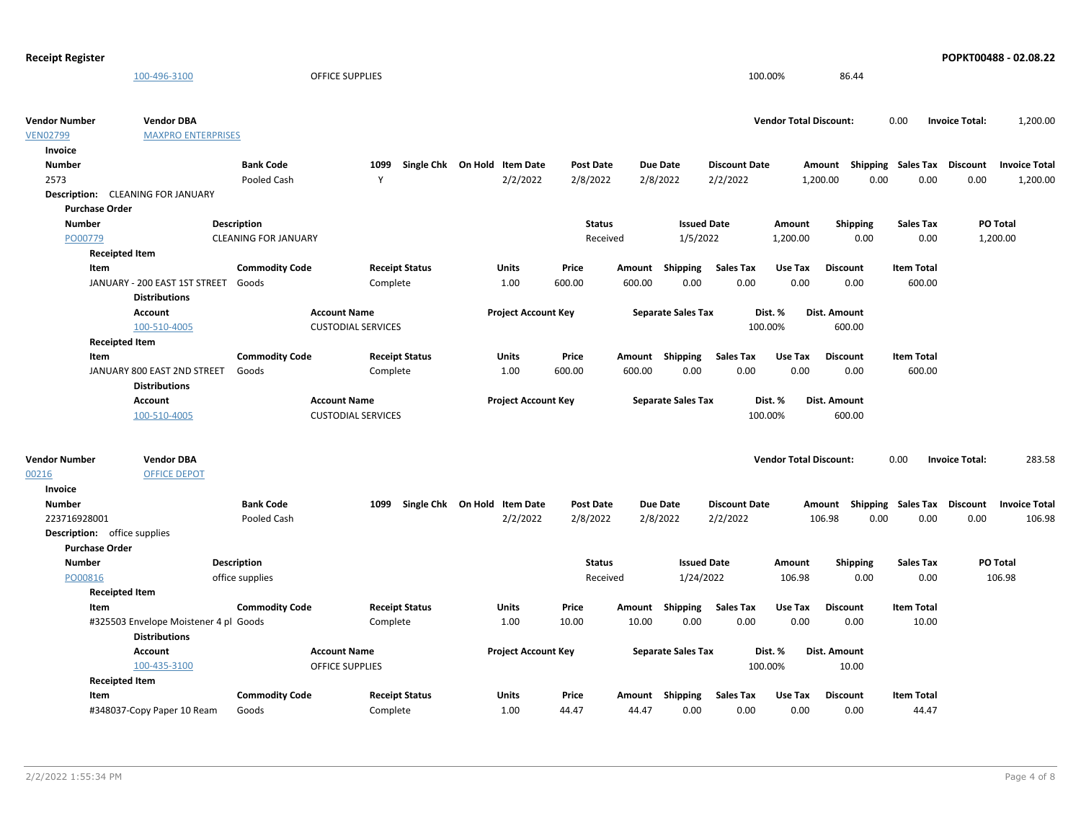| <b>Receipt Register</b> |                                                               |                             |                           |                              |                  |                           |                      |                               |                                    |                   | POPKT00488 - 02.08.22 |                      |
|-------------------------|---------------------------------------------------------------|-----------------------------|---------------------------|------------------------------|------------------|---------------------------|----------------------|-------------------------------|------------------------------------|-------------------|-----------------------|----------------------|
|                         | 100-496-3100                                                  |                             | <b>OFFICE SUPPLIES</b>    |                              |                  |                           |                      | 100.00%                       | 86.44                              |                   |                       |                      |
| <b>Vendor Number</b>    | <b>Vendor DBA</b>                                             |                             |                           |                              |                  |                           |                      | <b>Vendor Total Discount:</b> |                                    | 0.00              | <b>Invoice Total:</b> | 1,200.00             |
| <b>VEN02799</b>         | <b>MAXPRO ENTERPRISES</b>                                     |                             |                           |                              |                  |                           |                      |                               |                                    |                   |                       |                      |
| Invoice                 |                                                               |                             |                           |                              |                  |                           |                      |                               |                                    |                   |                       |                      |
| <b>Number</b>           |                                                               | <b>Bank Code</b>            | 1099                      | Single Chk On Hold Item Date | <b>Post Date</b> | <b>Due Date</b>           | <b>Discount Date</b> |                               | Amount Shipping Sales Tax Discount |                   |                       | <b>Invoice Total</b> |
| 2573                    |                                                               | Pooled Cash                 | Y                         | 2/2/2022                     | 2/8/2022         | 2/8/2022                  | 2/2/2022             | 1,200.00                      | 0.00                               | 0.00              | 0.00                  | 1,200.00             |
|                         | Description: CLEANING FOR JANUARY                             |                             |                           |                              |                  |                           |                      |                               |                                    |                   |                       |                      |
|                         | <b>Purchase Order</b>                                         |                             |                           |                              |                  |                           |                      |                               |                                    |                   |                       |                      |
| <b>Number</b>           |                                                               | <b>Description</b>          |                           |                              | <b>Status</b>    |                           | <b>Issued Date</b>   | Amount                        | <b>Shipping</b>                    | <b>Sales Tax</b>  | PO Total              |                      |
| PO00779                 |                                                               | <b>CLEANING FOR JANUARY</b> |                           |                              | Received         |                           | 1/5/2022             | 1,200.00                      | 0.00                               | 0.00              | 1,200.00              |                      |
|                         | <b>Receipted Item</b>                                         |                             |                           |                              |                  |                           |                      |                               |                                    |                   |                       |                      |
|                         | Item                                                          | <b>Commodity Code</b>       | <b>Receipt Status</b>     | <b>Units</b>                 | Price            | <b>Shipping</b><br>Amount | <b>Sales Tax</b>     | Use Tax                       | <b>Discount</b>                    | <b>Item Total</b> |                       |                      |
|                         | JANUARY - 200 EAST 1ST STREET                                 | Goods                       | Complete                  | 1.00                         | 600.00           | 600.00                    | 0.00<br>0.00         | 0.00                          | 0.00                               | 600.00            |                       |                      |
|                         | <b>Distributions</b>                                          |                             |                           |                              |                  |                           |                      |                               |                                    |                   |                       |                      |
|                         | <b>Account</b>                                                |                             | <b>Account Name</b>       | <b>Project Account Key</b>   |                  | <b>Separate Sales Tax</b> |                      | Dist. %                       | <b>Dist. Amount</b>                |                   |                       |                      |
|                         | 100-510-4005                                                  |                             | <b>CUSTODIAL SERVICES</b> |                              |                  |                           |                      | 100.00%                       | 600.00                             |                   |                       |                      |
|                         | <b>Receipted Item</b>                                         |                             |                           |                              |                  |                           |                      |                               |                                    |                   |                       |                      |
|                         | Item                                                          | <b>Commodity Code</b>       | <b>Receipt Status</b>     | <b>Units</b>                 | Price            | Amount Shipping           | <b>Sales Tax</b>     | Use Tax                       | <b>Discount</b>                    | <b>Item Total</b> |                       |                      |
|                         | JANUARY 800 EAST 2ND STREET                                   | Goods                       | Complete                  | 1.00                         | 600.00           | 600.00                    | 0.00<br>0.00         | 0.00                          | 0.00                               | 600.00            |                       |                      |
|                         | <b>Distributions</b>                                          |                             |                           |                              |                  |                           |                      |                               |                                    |                   |                       |                      |
|                         | Account                                                       |                             | <b>Account Name</b>       | <b>Project Account Key</b>   |                  | <b>Separate Sales Tax</b> |                      | Dist. %                       | Dist. Amount                       |                   |                       |                      |
|                         | 100-510-4005                                                  |                             | <b>CUSTODIAL SERVICES</b> |                              |                  |                           |                      | 100.00%                       | 600.00                             |                   |                       |                      |
| <b>Vendor Number</b>    | <b>Vendor DBA</b>                                             |                             |                           |                              |                  |                           |                      | <b>Vendor Total Discount:</b> |                                    | 0.00              | <b>Invoice Total:</b> | 283.58               |
| 00216                   | <b>OFFICE DEPOT</b>                                           |                             |                           |                              |                  |                           |                      |                               |                                    |                   |                       |                      |
| Invoice                 |                                                               |                             |                           |                              |                  |                           |                      |                               |                                    |                   |                       |                      |
| <b>Number</b>           |                                                               | <b>Bank Code</b>            | 1099                      | Single Chk On Hold Item Date | <b>Post Date</b> | <b>Due Date</b>           | <b>Discount Date</b> |                               | Amount Shipping Sales Tax Discount |                   |                       | <b>Invoice Total</b> |
| 223716928001            |                                                               | Pooled Cash                 |                           | 2/2/2022                     | 2/8/2022         | 2/8/2022                  | 2/2/2022             |                               | 106.98<br>0.00                     | 0.00              | 0.00                  | 106.98               |
|                         | <b>Description:</b> office supplies                           |                             |                           |                              |                  |                           |                      |                               |                                    |                   |                       |                      |
|                         | <b>Purchase Order</b>                                         |                             |                           |                              |                  |                           |                      |                               |                                    |                   |                       |                      |
| <b>Number</b>           |                                                               | <b>Description</b>          |                           |                              | <b>Status</b>    |                           | <b>Issued Date</b>   | Amount                        | <b>Shipping</b>                    | <b>Sales Tax</b>  | PO Total              |                      |
| PO00816                 |                                                               | office supplies             |                           |                              | Received         |                           | 1/24/2022            | 106.98                        | 0.00                               | 0.00              |                       | 106.98               |
|                         | <b>Receipted Item</b>                                         |                             |                           |                              |                  |                           |                      |                               |                                    |                   |                       |                      |
|                         | Item                                                          | <b>Commodity Code</b>       | <b>Receipt Status</b>     | Units                        | Price            | Shipping<br>Amount        | <b>Sales Tax</b>     | Use Tax                       | <b>Discount</b>                    | <b>Item Total</b> |                       |                      |
|                         | #325503 Envelope Moistener 4 pl Goods<br><b>Distributions</b> |                             | Complete                  | 1.00                         | 10.00            | 10.00                     | 0.00<br>0.00         | 0.00                          | 0.00                               | 10.00             |                       |                      |
|                         | <b>Account</b>                                                |                             | <b>Account Name</b>       | <b>Project Account Key</b>   |                  | <b>Separate Sales Tax</b> |                      | Dist. %                       | Dist. Amount                       |                   |                       |                      |
|                         | 100-435-3100                                                  |                             | <b>OFFICE SUPPLIES</b>    |                              |                  |                           |                      | 100.00%                       | 10.00                              |                   |                       |                      |
|                         | <b>Receipted Item</b>                                         |                             |                           |                              |                  |                           |                      |                               |                                    |                   |                       |                      |
|                         | Item                                                          | <b>Commodity Code</b>       | <b>Receipt Status</b>     | Units                        | Price            | Amount Shipping           | <b>Sales Tax</b>     | Use Tax                       | <b>Discount</b>                    | <b>Item Total</b> |                       |                      |
|                         | #348037-Copy Paper 10 Ream                                    | Goods                       | Complete                  | 1.00                         | 44.47            | 44.47                     | 0.00<br>0.00         | 0.00                          | 0.00                               | 44.47             |                       |                      |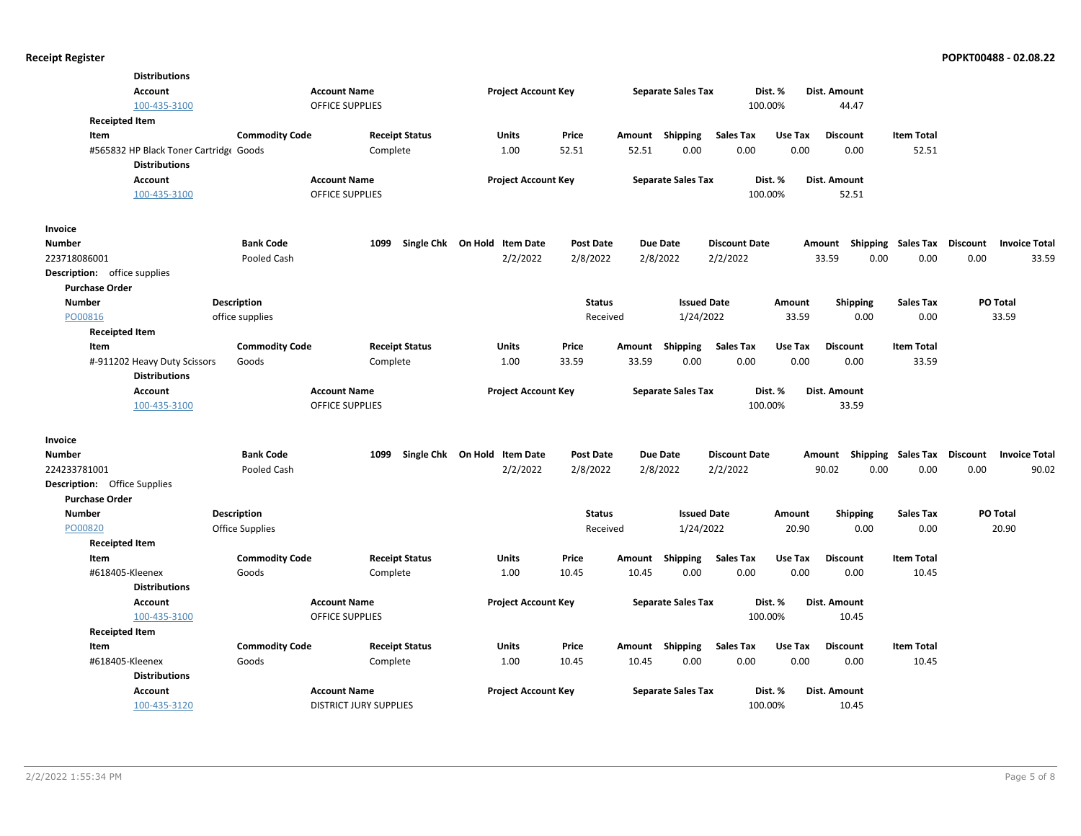| <b>Account</b>                      | <b>Distributions</b><br>100-435-3100   | <b>Account Name</b><br>OFFICE SUPPLIES | <b>Project Account Key</b>   |                  |                 | <b>Separate Sales Tax</b> | 100.00%                  | Dist. %         | Dist. Amount<br>44.47                      |                            |          |                      |
|-------------------------------------|----------------------------------------|----------------------------------------|------------------------------|------------------|-----------------|---------------------------|--------------------------|-----------------|--------------------------------------------|----------------------------|----------|----------------------|
| <b>Receipted Item</b><br>Item       | <b>Commodity Code</b>                  | <b>Receipt Status</b>                  | Units                        | Price            |                 | Amount Shipping           | <b>Sales Tax</b>         | Use Tax         | <b>Discount</b>                            | <b>Item Total</b>          |          |                      |
|                                     | #565832 HP Black Toner Cartridge Goods | Complete                               | 1.00                         | 52.51            | 52.51           | 0.00                      | 0.00                     | 0.00            | 0.00                                       | 52.51                      |          |                      |
|                                     | <b>Distributions</b>                   |                                        |                              |                  |                 |                           |                          |                 |                                            |                            |          |                      |
| <b>Account</b>                      |                                        | <b>Account Name</b>                    | <b>Project Account Key</b>   |                  |                 | <b>Separate Sales Tax</b> |                          | Dist. %         | <b>Dist. Amount</b>                        |                            |          |                      |
|                                     | 100-435-3100                           | OFFICE SUPPLIES                        |                              |                  |                 |                           | 100.00%                  |                 | 52.51                                      |                            |          |                      |
| Invoice                             |                                        |                                        |                              |                  |                 |                           |                          |                 |                                            |                            |          |                      |
| Number                              | <b>Bank Code</b>                       | 1099                                   | Single Chk On Hold Item Date | <b>Post Date</b> |                 | <b>Due Date</b>           | <b>Discount Date</b>     |                 | Amount Shipping Sales Tax Discount         |                            |          | <b>Invoice Total</b> |
| 223718086001                        | Pooled Cash                            |                                        | 2/2/2022                     | 2/8/2022         |                 | 2/8/2022                  | 2/2/2022                 |                 | 33.59<br>0.00                              | 0.00                       | 0.00     | 33.59                |
| <b>Description:</b> office supplies |                                        |                                        |                              |                  |                 |                           |                          |                 |                                            |                            |          |                      |
| <b>Purchase Order</b>               |                                        |                                        |                              |                  |                 |                           |                          |                 |                                            |                            |          |                      |
| <b>Number</b>                       | <b>Description</b>                     |                                        |                              | <b>Status</b>    |                 | <b>Issued Date</b>        |                          | Amount          | <b>Shipping</b>                            | <b>Sales Tax</b>           |          | <b>PO Total</b>      |
| PO00816                             | office supplies                        |                                        |                              | Received         |                 | 1/24/2022                 |                          | 33.59           | 0.00                                       | 0.00                       |          | 33.59                |
| <b>Receipted Item</b>               |                                        |                                        |                              |                  |                 |                           |                          |                 |                                            |                            |          |                      |
| Item                                | <b>Commodity Code</b>                  | <b>Receipt Status</b>                  | <b>Units</b><br>1.00         | Price<br>33.59   | Amount<br>33.59 | Shipping<br>0.00          | <b>Sales Tax</b><br>0.00 | Use Tax<br>0.00 | <b>Discount</b><br>0.00                    | <b>Item Total</b><br>33.59 |          |                      |
| #-911202 Heavy Duty Scissors        | Goods<br><b>Distributions</b>          | Complete                               |                              |                  |                 |                           |                          |                 |                                            |                            |          |                      |
| <b>Account</b>                      |                                        | <b>Account Name</b>                    | <b>Project Account Key</b>   |                  |                 | <b>Separate Sales Tax</b> |                          | Dist. %         | Dist. Amount                               |                            |          |                      |
|                                     | 100-435-3100                           | <b>OFFICE SUPPLIES</b>                 |                              |                  |                 |                           | 100.00%                  |                 | 33.59                                      |                            |          |                      |
|                                     |                                        |                                        |                              |                  |                 |                           |                          |                 |                                            |                            |          |                      |
| Invoice<br>Number                   | <b>Bank Code</b>                       | 1099                                   | Single Chk On Hold Item Date | <b>Post Date</b> |                 | <b>Due Date</b>           | <b>Discount Date</b>     |                 |                                            |                            | Discount | <b>Invoice Total</b> |
| 224233781001                        | Pooled Cash                            |                                        | 2/2/2022                     | 2/8/2022         |                 | 2/8/2022                  | 2/2/2022                 |                 | Amount Shipping Sales Tax<br>90.02<br>0.00 | 0.00                       | 0.00     | 90.02                |
| Description: Office Supplies        |                                        |                                        |                              |                  |                 |                           |                          |                 |                                            |                            |          |                      |
| <b>Purchase Order</b>               |                                        |                                        |                              |                  |                 |                           |                          |                 |                                            |                            |          |                      |
| <b>Number</b>                       | <b>Description</b>                     |                                        |                              | <b>Status</b>    |                 | <b>Issued Date</b>        |                          | Amount          | <b>Shipping</b>                            | <b>Sales Tax</b>           |          | <b>PO Total</b>      |
| PO00820                             | <b>Office Supplies</b>                 |                                        |                              | Received         |                 | 1/24/2022                 |                          | 20.90           | 0.00                                       | 0.00                       |          | 20.90                |
| <b>Receipted Item</b>               |                                        |                                        |                              |                  |                 |                           |                          |                 |                                            |                            |          |                      |
| Item                                | <b>Commodity Code</b>                  | <b>Receipt Status</b>                  | Units                        | Price            | Amount          | Shipping                  | <b>Sales Tax</b>         | Use Tax         | <b>Discount</b>                            | <b>Item Total</b>          |          |                      |
| #618405-Kleenex                     | Goods                                  | Complete                               | 1.00                         | 10.45            | 10.45           | 0.00                      | 0.00                     | 0.00            | 0.00                                       | 10.45                      |          |                      |
|                                     | <b>Distributions</b>                   |                                        |                              |                  |                 |                           |                          |                 |                                            |                            |          |                      |
| <b>Account</b>                      |                                        | <b>Account Name</b>                    | <b>Project Account Key</b>   |                  |                 | <b>Separate Sales Tax</b> |                          | Dist. %         | Dist. Amount                               |                            |          |                      |
|                                     | 100-435-3100                           | <b>OFFICE SUPPLIES</b>                 |                              |                  |                 |                           | 100.00%                  |                 | 10.45                                      |                            |          |                      |
| <b>Receipted Item</b>               |                                        |                                        |                              |                  |                 |                           |                          |                 |                                            |                            |          |                      |
| Item                                | <b>Commodity Code</b>                  | <b>Receipt Status</b>                  | Units                        | Price            |                 | Amount Shipping           | <b>Sales Tax</b>         | Use Tax         | <b>Discount</b>                            | <b>Item Total</b>          |          |                      |
| #618405-Kleenex                     | Goods                                  | Complete                               | 1.00                         | 10.45            | 10.45           | 0.00                      | 0.00                     | 0.00            | 0.00                                       | 10.45                      |          |                      |
|                                     | <b>Distributions</b>                   |                                        |                              |                  |                 |                           |                          |                 |                                            |                            |          |                      |
| <b>Account</b>                      |                                        | <b>Account Name</b>                    | <b>Project Account Key</b>   |                  |                 | <b>Separate Sales Tax</b> |                          | Dist. %         | <b>Dist. Amount</b>                        |                            |          |                      |
|                                     | 100-435-3120                           | <b>DISTRICT JURY SUPPLIES</b>          |                              |                  |                 |                           | 100.00%                  |                 | 10.45                                      |                            |          |                      |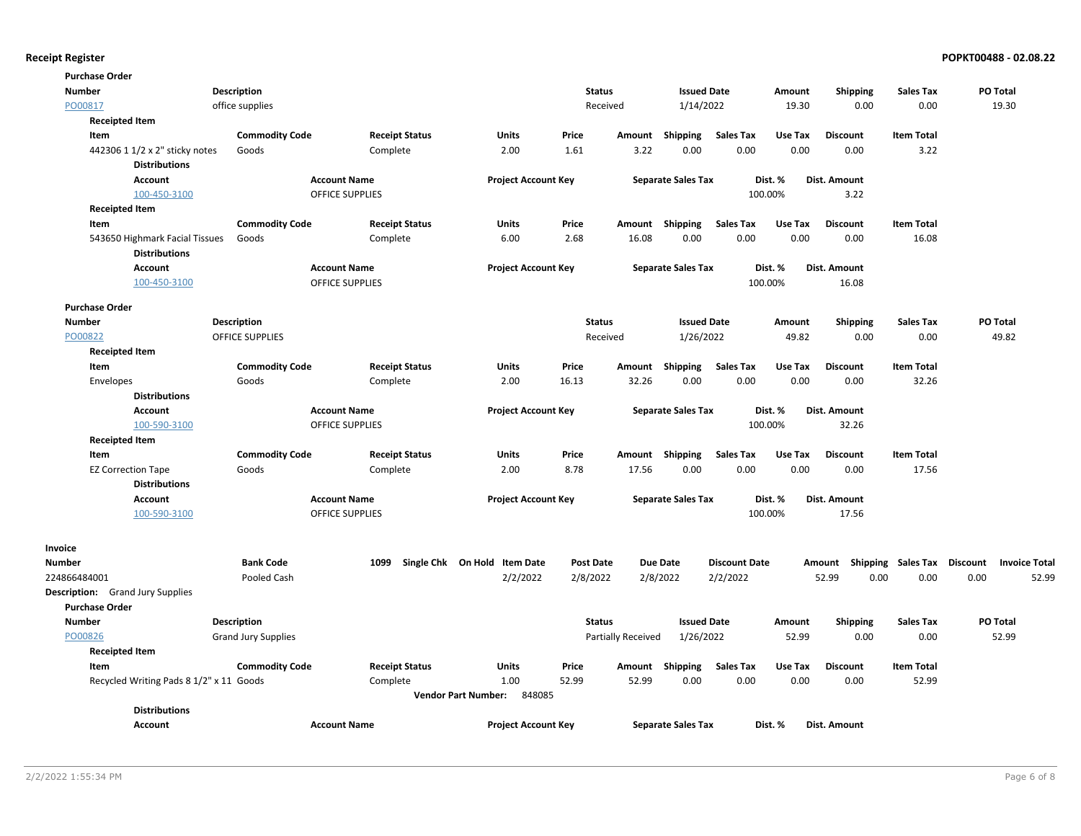| <b>Purchase Order</b>                   |                            |                            |                                      |                  |                           |                           |                      |         |                                    |                   |                 |                      |
|-----------------------------------------|----------------------------|----------------------------|--------------------------------------|------------------|---------------------------|---------------------------|----------------------|---------|------------------------------------|-------------------|-----------------|----------------------|
| <b>Number</b>                           | <b>Description</b>         |                            |                                      | <b>Status</b>    |                           | <b>Issued Date</b>        |                      | Amount  | <b>Shipping</b>                    | Sales Tax         | <b>PO Total</b> |                      |
| PO00817                                 | office supplies            |                            |                                      | Received         |                           | 1/14/2022                 |                      | 19.30   | 0.00                               | 0.00              | 19.30           |                      |
| <b>Receipted Item</b>                   |                            |                            |                                      |                  |                           |                           |                      |         |                                    |                   |                 |                      |
| Item                                    | <b>Commodity Code</b>      | <b>Receipt Status</b>      | Units                                | Price            | Amount                    | Shipping                  | <b>Sales Tax</b>     | Use Tax | <b>Discount</b>                    | <b>Item Total</b> |                 |                      |
| 442306 1 1/2 x 2" sticky notes          | Goods                      | Complete                   | 2.00                                 | 1.61             | 3.22                      | 0.00                      | 0.00                 | 0.00    | 0.00                               | 3.22              |                 |                      |
| <b>Distributions</b>                    |                            |                            |                                      |                  |                           |                           |                      |         |                                    |                   |                 |                      |
| Account                                 |                            | <b>Account Name</b>        | <b>Project Account Key</b>           |                  |                           | <b>Separate Sales Tax</b> |                      | Dist. % | Dist. Amount                       |                   |                 |                      |
| 100-450-3100                            |                            | <b>OFFICE SUPPLIES</b>     |                                      |                  |                           |                           |                      | 100.00% | 3.22                               |                   |                 |                      |
| <b>Receipted Item</b>                   |                            |                            |                                      |                  |                           |                           |                      |         |                                    |                   |                 |                      |
| Item                                    | <b>Commodity Code</b>      | <b>Receipt Status</b>      | Units                                | Price            |                           | Amount Shipping           | <b>Sales Tax</b>     | Use Tax | <b>Discount</b>                    | <b>Item Total</b> |                 |                      |
| 543650 Highmark Facial Tissues          | Goods                      | Complete                   | 6.00                                 | 2.68             | 16.08                     | 0.00                      | 0.00                 | 0.00    | 0.00                               | 16.08             |                 |                      |
| <b>Distributions</b>                    |                            |                            |                                      |                  |                           |                           |                      |         |                                    |                   |                 |                      |
| Account                                 |                            | <b>Account Name</b>        | <b>Project Account Key</b>           |                  |                           | <b>Separate Sales Tax</b> |                      | Dist. % | Dist. Amount                       |                   |                 |                      |
| 100-450-3100                            |                            | OFFICE SUPPLIES            |                                      |                  |                           |                           |                      | 100.00% | 16.08                              |                   |                 |                      |
| <b>Purchase Order</b>                   |                            |                            |                                      |                  |                           |                           |                      |         |                                    |                   |                 |                      |
| <b>Number</b>                           | <b>Description</b>         |                            |                                      | <b>Status</b>    |                           | <b>Issued Date</b>        |                      | Amount  | <b>Shipping</b>                    | Sales Tax         | <b>PO Total</b> |                      |
| PO00822                                 | <b>OFFICE SUPPLIES</b>     |                            |                                      | Received         |                           | 1/26/2022                 |                      | 49.82   | 0.00                               | 0.00              | 49.82           |                      |
| <b>Receipted Item</b>                   |                            |                            |                                      |                  |                           |                           |                      |         |                                    |                   |                 |                      |
| Item                                    | <b>Commodity Code</b>      | <b>Receipt Status</b>      | Units                                | Price            | Amount                    | Shipping                  | <b>Sales Tax</b>     | Use Tax | <b>Discount</b>                    | <b>Item Total</b> |                 |                      |
| Envelopes                               | Goods                      | Complete                   | 2.00                                 | 16.13            | 32.26                     | 0.00                      | 0.00                 | 0.00    | 0.00                               | 32.26             |                 |                      |
| <b>Distributions</b>                    |                            |                            |                                      |                  |                           |                           |                      |         |                                    |                   |                 |                      |
| <b>Account</b>                          |                            | <b>Account Name</b>        | <b>Project Account Key</b>           |                  |                           | <b>Separate Sales Tax</b> |                      | Dist. % | Dist. Amount                       |                   |                 |                      |
| 100-590-3100                            |                            | OFFICE SUPPLIES            |                                      |                  |                           |                           |                      | 100.00% | 32.26                              |                   |                 |                      |
| <b>Receipted Item</b>                   |                            |                            |                                      |                  |                           |                           |                      |         |                                    |                   |                 |                      |
| Item                                    | <b>Commodity Code</b>      | <b>Receipt Status</b>      | <b>Units</b>                         | Price            | Amount                    | Shipping                  | <b>Sales Tax</b>     | Use Tax | <b>Discount</b>                    | <b>Item Total</b> |                 |                      |
| <b>EZ Correction Tape</b>               | Goods                      | Complete                   | 2.00                                 | 8.78             | 17.56                     | 0.00                      | 0.00                 | 0.00    | 0.00                               | 17.56             |                 |                      |
| <b>Distributions</b>                    |                            |                            |                                      |                  |                           |                           |                      |         |                                    |                   |                 |                      |
| Account                                 |                            | <b>Account Name</b>        | <b>Project Account Key</b>           |                  |                           | <b>Separate Sales Tax</b> |                      | Dist. % | Dist. Amount                       |                   |                 |                      |
| 100-590-3100                            |                            | <b>OFFICE SUPPLIES</b>     |                                      |                  |                           |                           |                      | 100.00% | 17.56                              |                   |                 |                      |
| Invoice                                 |                            |                            |                                      |                  |                           |                           |                      |         |                                    |                   |                 |                      |
| <b>Number</b>                           | <b>Bank Code</b>           | Single Chk On Hold<br>1099 | <b>Item Date</b>                     | <b>Post Date</b> |                           | <b>Due Date</b>           | <b>Discount Date</b> |         | Amount Shipping Sales Tax Discount |                   |                 | <b>Invoice Total</b> |
| 224866484001                            | Pooled Cash                |                            | 2/2/2022                             | 2/8/2022         |                           | 2/8/2022                  | 2/2/2022             |         | 52.99<br>0.00                      | 0.00              | 0.00            | 52.99                |
| <b>Description:</b> Grand Jury Supplies |                            |                            |                                      |                  |                           |                           |                      |         |                                    |                   |                 |                      |
| <b>Purchase Order</b>                   |                            |                            |                                      |                  |                           |                           |                      |         |                                    |                   |                 |                      |
| Number                                  | Description                |                            |                                      | <b>Status</b>    |                           | <b>Issued Date</b>        |                      | Amount  | <b>Shipping</b>                    | <b>Sales Tax</b>  | PO Total        |                      |
| PO00826                                 | <b>Grand Jury Supplies</b> |                            |                                      |                  | <b>Partially Received</b> | 1/26/2022                 |                      | 52.99   | 0.00                               | 0.00              | 52.99           |                      |
| <b>Receipted Item</b>                   |                            |                            |                                      |                  |                           |                           |                      |         |                                    |                   |                 |                      |
| Item                                    | <b>Commodity Code</b>      | <b>Receipt Status</b>      | Units                                | Price            | Amount                    | Shipping                  | <b>Sales Tax</b>     | Use Tax | <b>Discount</b>                    | <b>Item Total</b> |                 |                      |
| Recycled Writing Pads 8 1/2" x 11 Goods |                            | Complete                   | 1.00                                 | 52.99            | 52.99                     | 0.00                      | 0.00                 | 0.00    | 0.00                               | 52.99             |                 |                      |
|                                         |                            |                            | <b>Vendor Part Number:</b><br>848085 |                  |                           |                           |                      |         |                                    |                   |                 |                      |
| <b>Distributions</b>                    |                            |                            |                                      |                  |                           |                           |                      |         |                                    |                   |                 |                      |
| Account                                 |                            | <b>Account Name</b>        | <b>Project Account Key</b>           |                  |                           | <b>Separate Sales Tax</b> |                      | Dist. % | Dist. Amount                       |                   |                 |                      |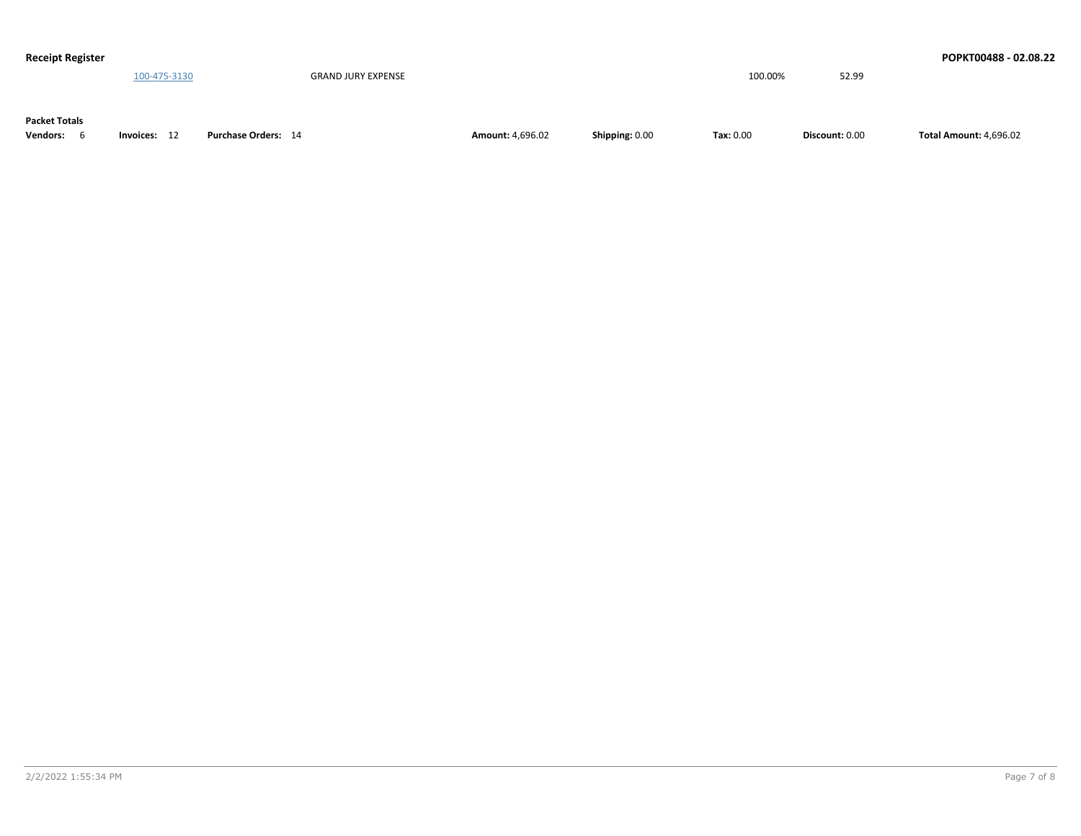| <b>Receipt Register</b> |              |                           |                         |                |           |                | POPKT00488 - 02.08.22         |
|-------------------------|--------------|---------------------------|-------------------------|----------------|-----------|----------------|-------------------------------|
|                         | 100-475-3130 | <b>GRAND JURY EXPENSE</b> |                         |                | 100.00%   | 52.99          |                               |
|                         |              |                           |                         |                |           |                |                               |
| <b>Packet Totals</b>    |              |                           |                         |                |           |                |                               |
|                         |              |                           |                         |                |           |                |                               |
| <b>Vendors:</b>         | Invoices: 12 | Purchase Orders: 14       | <b>Amount: 4,696.02</b> | Shipping: 0.00 | Tax: 0.00 | Discount: 0.00 | <b>Total Amount: 4,696.02</b> |